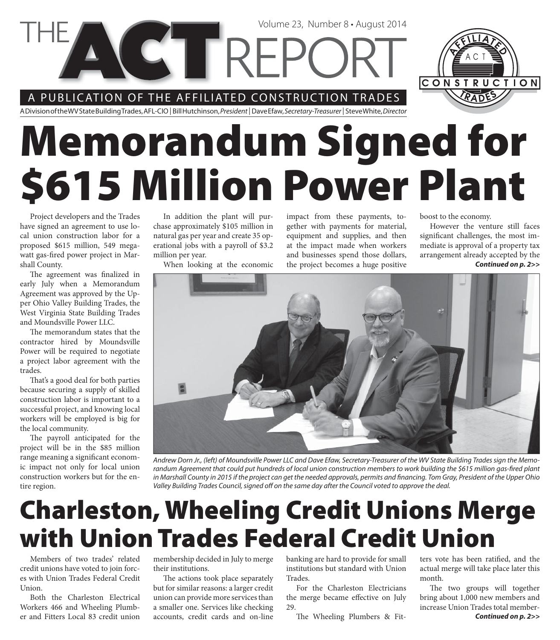A PUBLICATION OF THE AFFILIATED CONSTRUCTION TRADES

**CTTRFF** 



A Division of the WV State Building Trades, AFL-CIO | Bill Hutchinson, President | Dave Efaw, Secretary-Treasurer | Steve White, Director

# **Memorandum Signed for \$615 Million Power Plant**

Project developers and the Trades have signed an agreement to use local union construction labor for a proposed \$615 million, 549 megawatt gas-fired power project in Marshall County.

The agreement was finalized in early July when a Memorandum Agreement was approved by the Upper Ohio Valley Building Trades, the West Virginia State Building Trades and Moundsville Power LLC.

The memorandum states that the contractor hired by Moundsville Power will be required to negotiate a project labor agreement with the trades.

That's a good deal for both parties because securing a supply of skilled construction labor is important to a successful project, and knowing local workers will be employed is big for the local community.

The payroll anticipated for the project will be in the \$85 million range meaning a significant economic impact not only for local union construction workers but for the entire region.

In addition the plant will purchase approximately \$105 million in natural gas per year and create 35 operational jobs with a payroll of \$3.2 million per year.

When looking at the economic

impact from these payments, together with payments for material, equipment and supplies, and then at the impact made when workers and businesses spend those dollars, the project becomes a huge positive

Volume 23, Number 8 • August 2014

boost to the economy.

*Continued on p. 2>>* However the venture still faces significant challenges, the most immediate is approval of a property tax arrangement already accepted by the



Andrew Dorn Jr., (left) of Moundsville Power LLC and Dave Efaw, Secretary-Treasurer of the WV State Building Trades sign the Memorandum Agreement that could put hundreds of local union construction members to work building the \$615 million gas-fired plant in Marshall County in 2015 if the project can get the needed approvals, permits and financing. Tom Gray, President of the Upper Ohio Valley Building Trades Council, signed off on the same day after the Council voted to approve the deal.

## **Charleston, Wheeling Credit Unions Merge with Union Trades Federal Credit Union**

Members of two trades' related credit unions have voted to join forces with Union Trades Federal Credit Union.

Both the Charleston Electrical Workers 466 and Wheeling Plumber and Fitters Local 83 credit union membership decided in July to merge their institutions.

The actions took place separately but for similar reasons: a larger credit union can provide more services than a smaller one. Services like checking accounts, credit cards and on-line

banking are hard to provide for small institutions but standard with Union Trades.

For the Charleston Electricians the merge became effective on July 29.

The Wheeling Plumbers & Fit-

ters vote has been ratified, and the actual merge will take place later this month.

*Continued on p. 2>>* The two groups will together bring about 1,000 new members and increase Union Trades total member-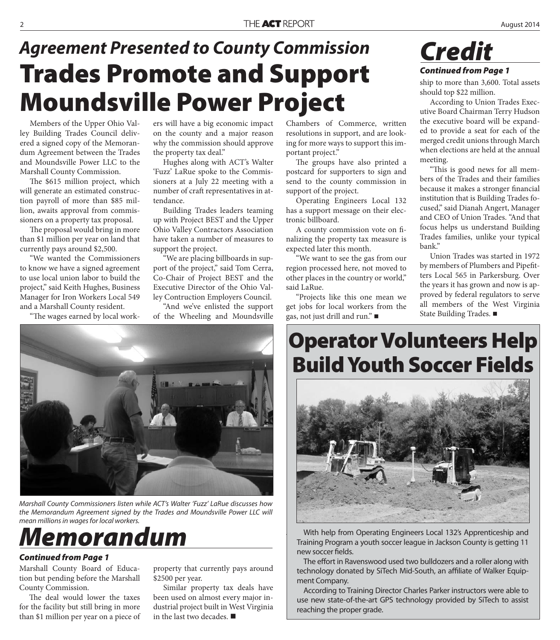### **Trades Promote and Support Moundsville Power Project** *Agreement Presented to County Commission Credit*

Members of the Upper Ohio Valley Building Trades Council delivered a signed copy of the Memorandum Agreement between the Trades and Moundsville Power LLC to the Marshall County Commission.

The \$615 million project, which will generate an estimated construction payroll of more than \$85 million, awaits approval from commissioners on a property tax proposal.

The proposal would bring in more than \$1 million per year on land that currently pays around \$2,500.

"We wanted the Commissioners to know we have a signed agreement to use local union labor to build the project," said Keith Hughes, Business Manager for Iron Workers Local 549 and a Marshall County resident.

"The wages earned by local work-

ers will have a big economic impact on the county and a major reason why the commission should approve the property tax deal."

Hughes along with ACT's Walter 'Fuzz' LaRue spoke to the Commissioners at a July 22 meeting with a number of craft representatives in attendance.

Building Trades leaders teaming up with Project BEST and the Upper Ohio Valley Contractors Association have taken a number of measures to support the project.

"We are placing billboards in support of the project," said Tom Cerra, Co-Chair of Project BEST and the Executive Director of the Ohio Valley Contruction Employers Council.

"And we've enlisted the support of the Wheeling and Moundsville



Marshall County Commissioners listen while ACT's Walter 'Fuzz' LaRue discusses how the Memorandum Agreement signed by the Trades and Moundsville Power LLC will mean millions in wages for local workers.

#### *Memorandum*

#### *Continued from Page 1*

Marshall County Board of Education but pending before the Marshall County Commission.

The deal would lower the taxes for the facility but still bring in more than \$1 million per year on a piece of property that currently pays around \$2500 per year.

Similar property tax deals have been used on almost every major industrial project built in West Virginia in the last two decades.

Chambers of Commerce, written resolutions in support, and are looking for more ways to support this important project."

The groups have also printed a postcard for supporters to sign and send to the county commission in support of the project.

Operating Engineers Local 132 has a support message on their electronic billboard.

A county commission vote on finalizing the property tax measure is expected later this month.

"We want to see the gas from our region processed here, not moved to other places in the country or world," said LaRue.

"Projects like this one mean we get jobs for local workers from the gas, not just drill and run."

*Continued from Page 1*

ship to more than 3,600. Total assets should top \$22 million.

According to Union Trades Executive Board Chairman Terry Hudson the executive board will be expanded to provide a seat for each of the merged credit unions through March when elections are held at the annual meeting.

"This is good news for all members of the Trades and their families because it makes a stronger financial institution that is Building Trades focused," said Dianah Angert, Manager and CEO of Union Trades. "And that focus helps us understand Building Trades families, unlike your typical bank."

Union Trades was started in 1972 by members of Plumbers and Pipefitters Local 565 in Parkersburg. Over the years it has grown and now is approved by federal regulators to serve all members of the West Virginia State Building Trades.

#### **Operator Volunteers Help Build Youth Soccer Fields**



With help from Operating Engineers Local 132's Apprenticeship and Training Program a youth soccer league in Jackson County is getting 11 new soccer fields.

The effort in Ravenswood used two bulldozers and a roller along with technology donated by SiTech Mid-South, an affiliate of Walker Equipment Company.

According to Training Director Charles Parker instructors were able to use new state-of-the-art GPS technology provided by SiTech to assist reaching the proper grade.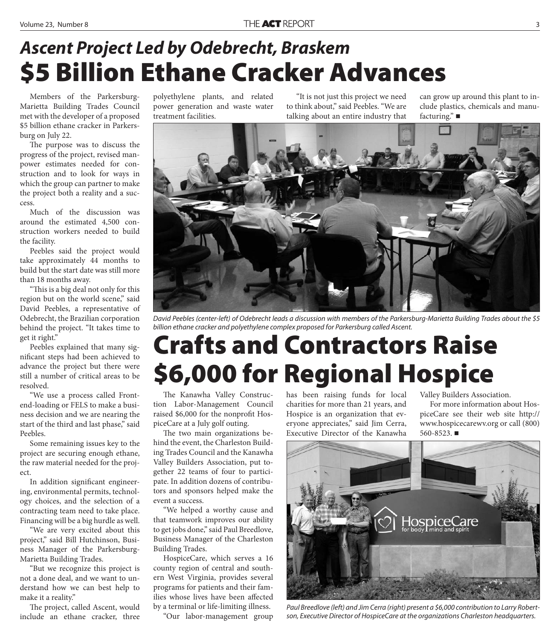#### **\$5 Billion Ethane Cracker Advances** *Ascent Project Led by Odebrecht, Braskem*

Members of the Parkersburg-Marietta Building Trades Council met with the developer of a proposed \$5 billion ethane cracker in Parkersburg on July 22.

The purpose was to discuss the progress of the project, revised manpower estimates needed for construction and to look for ways in which the group can partner to make the project both a reality and a success.

Much of the discussion was around the estimated 4,500 construction workers needed to build the facility.

Peebles said the project would take approximately 44 months to build but the start date was still more than 18 months away.

"This is a big deal not only for this region but on the world scene," said David Peebles, a representative of Odebrecht, the Brazilian corporation behind the project. "It takes time to get it right."

Peebles explained that many significant steps had been achieved to advance the project but there were still a number of critical areas to be resolved.

"We use a process called Frontend-loading or FELS to make a business decision and we are nearing the start of the third and last phase," said Peebles.

Some remaining issues key to the project are securing enough ethane, the raw material needed for the project.

In addition significant engineering, environmental permits, technology choices, and the selection of a contracting team need to take place. Financing will be a big hurdle as well.

"We are very excited about this project," said Bill Hutchinson, Business Manager of the Parkersburg-Marietta Building Trades.

"But we recognize this project is not a done deal, and we want to understand how we can best help to make it a reality."

The project, called Ascent, would include an ethane cracker, three polyethylene plants, and related power generation and waste water treatment facilities.

"It is not just this project we need to think about," said Peebles. "We are talking about an entire industry that can grow up around this plant to include plastics, chemicals and manufacturing."



David Peebles (center-left) of Odebrecht leads a discussion with members of the Parkersburg-Marietta Building Trades about the \$5 billion ethane cracker and polyethylene complex proposed for Parkersburg called Ascent.

### **Crafts and Contractors Raise \$6,000 for Regional Hospice**

The Kanawha Valley Construction Labor-Management Council raised \$6,000 for the nonprofit HospiceCare at a July golf outing.

The two main organizations behind the event, the Charleston Building Trades Council and the Kanawha Valley Builders Association, put together 22 teams of four to participate. In addition dozens of contributors and sponsors helped make the event a success.

"We helped a worthy cause and that teamwork improves our ability to get jobs done," said Paul Breedlove, Business Manager of the Charleston Building Trades.

HospiceCare, which serves a 16 county region of central and southern West Virginia, provides several programs for patients and their families whose lives have been affected by a terminal or life-limiting illness.

"Our labor-management group

has been raising funds for local charities for more than 21 years, and Hospice is an organization that everyone appreciates," said Jim Cerra, Executive Director of the Kanawha Valley Builders Association.

For more information about HospiceCare see their web site http:// www.hospicecarewv.org or call (800) 560-8523.



Paul Breedlove (left) and Jim Cerra (right) present a \$6,000 contribution to Larry Robertson, Executive Director of HospiceCare at the organizations Charleston headquarters.